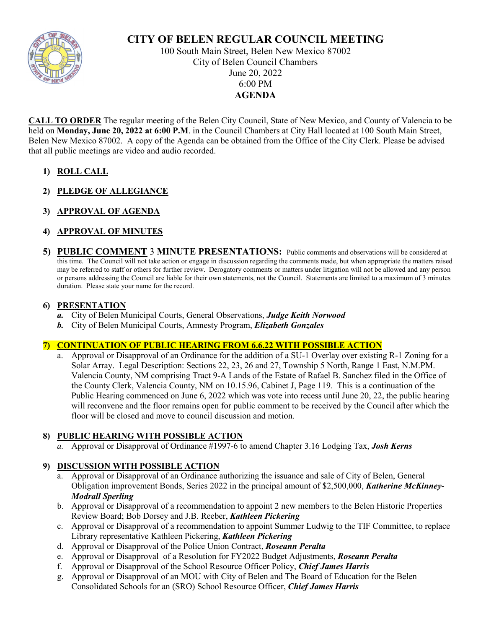

# **CITY OF BELEN REGULAR COUNCIL MEETING**

100 South Main Street, Belen New Mexico 87002 City of Belen Council Chambers June 20, 2022 6:00 PM **AGENDA**

**CALL TO ORDER** The regular meeting of the Belen City Council, State of New Mexico, and County of Valencia to be held on **Monday, June 20, 2022 at 6:00 P.M**. in the Council Chambers at City Hall located at 100 South Main Street, Belen New Mexico 87002. A copy of the Agenda can be obtained from the Office of the City Clerk. Please be advised that all public meetings are video and audio recorded.

- **1) ROLL CALL**
- **2) PLEDGE OF ALLEGIANCE**
- **3) APPROVAL OF AGENDA**

## **4) APPROVAL OF MINUTES**

**5) PUBLIC COMMENT** 3 **MINUTE PRESENTATIONS:** Public comments and observations will be considered at this time. The Council will not take action or engage in discussion regarding the comments made, but when appropriate the matters raised may be referred to staff or others for further review. Derogatory comments or matters under litigation will not be allowed and any person or persons addressing the Council are liable for their own statements, not the Council. Statements are limited to a maximum of 3 minutes duration. Please state your name for the record.

## **6) PRESENTATION**

- *a.* City of Belen Municipal Courts, General Observations, *Judge Keith Norwood*
- *b.* City of Belen Municipal Courts, Amnesty Program, *Elizabeth Gonzales*

#### **7) CONTINUATION OF PUBLIC HEARING FROM 6.6.22 WITH POSSIBLE ACTION**

a. Approval or Disapproval of an Ordinance for the addition of a SU-1 Overlay over existing R-1 Zoning for a Solar Array. Legal Description: Sections 22, 23, 26 and 27, Township 5 North, Range 1 East, N.M.PM. Valencia County, NM comprising Tract 9-A Lands of the Estate of Rafael B. Sanchez filed in the Office of the County Clerk, Valencia County, NM on 10.15.96, Cabinet J, Page 119. This is a continuation of the Public Hearing commenced on June 6, 2022 which was vote into recess until June 20, 22, the public hearing will reconvene and the floor remains open for public comment to be received by the Council after which the floor will be closed and move to council discussion and motion.

## **8) PUBLIC HEARING WITH POSSIBLE ACTION**

*a.* Approval or Disapproval of Ordinance #1997-6 to amend Chapter 3.16 Lodging Tax, *Josh Kerns*

## **9) DISCUSSION WITH POSSIBLE ACTION**

- a. Approval or Disapproval of an Ordinance authorizing the issuance and sale of City of Belen, General Obligation improvement Bonds, Series 2022 in the principal amount of \$2,500,000, *Katherine McKinney-Modrall Sperling*
- b. Approval or Disapproval of a recommendation to appoint 2 new members to the Belen Historic Properties Review Board; Bob Dorsey and J.B. Reeber, *Kathleen Pickering*
- c. Approval or Disapproval of a recommendation to appoint Summer Ludwig to the TIF Committee, to replace Library representative Kathleen Pickering, *Kathleen Pickering*
- d. Approval or Disapproval of the Police Union Contract, *Roseann Peralta*
- e. Approval or Disapproval of a Resolution for FY2022 Budget Adjustments, *Roseann Peralta*
- f. Approval or Disapproval of the School Resource Officer Policy, *Chief James Harris*
- g. Approval or Disapproval of an MOU with City of Belen and The Board of Education for the Belen Consolidated Schools for an (SRO) School Resource Officer, *Chief James Harris*